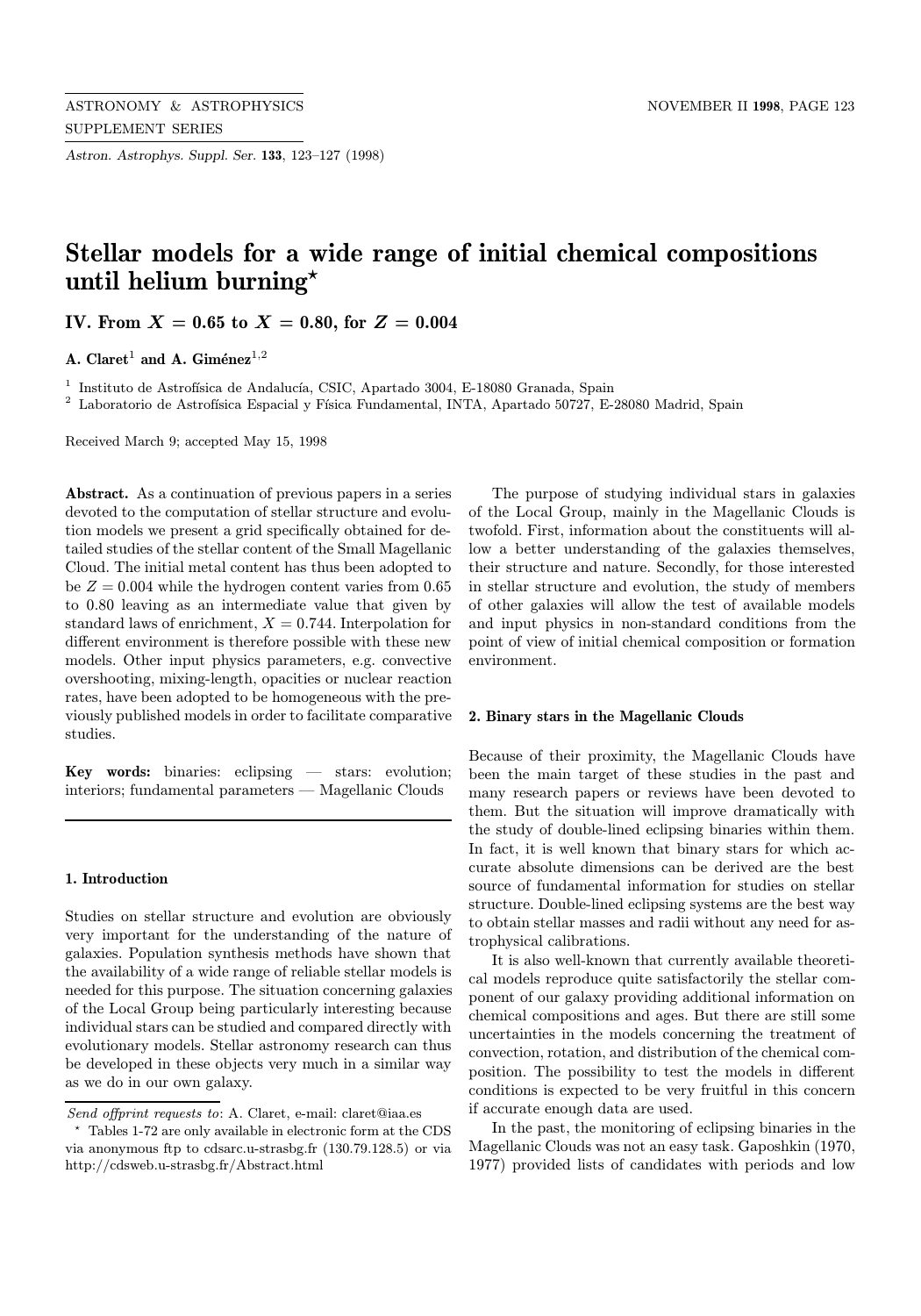Astron. Astrophys. Suppl. Ser. 133, 123–127 (1998)

# Stellar models for a wide range of initial chemical compositions until helium burning\*

IV. From  $X = 0.65$  to  $X = 0.80$ , for  $Z = 0.004$ 

A. Claret<sup>1</sup> and A. Giménez<sup>1,2</sup>

 $^{\rm 1}$  Instituto de Astrofísica de Andalucía, CSIC, Apartado 3004, E-18080 Granada, Spain

<sup>2</sup> Laboratorio de Astrofísica Espacial y Física Fundamental, INTA, Apartado 50727, E-28080 Madrid, Spain

Received March 9; accepted May 15, 1998

Abstract. As a continuation of previous papers in a series devoted to the computation of stellar structure and evolution models we present a grid specifically obtained for detailed studies of the stellar content of the Small Magellanic Cloud. The initial metal content has thus been adopted to be  $Z = 0.004$  while the hydrogen content varies from 0.65 to 0.80 leaving as an intermediate value that given by standard laws of enrichment,  $X = 0.744$ . Interpolation for different environment is therefore possible with these new models. Other input physics parameters, e.g. convective overshooting, mixing-length, opacities or nuclear reaction rates, have been adopted to be homogeneous with the previously published models in order to facilitate comparative studies.

Key words: binaries: eclipsing — stars: evolution; interiors; fundamental parameters — Magellanic Clouds

### 1. Introduction

Studies on stellar structure and evolution are obviously very important for the understanding of the nature of galaxies. Population synthesis methods have shown that the availability of a wide range of reliable stellar models is needed for this purpose. The situation concerning galaxies of the Local Group being particularly interesting because individual stars can be studied and compared directly with evolutionary models. Stellar astronomy research can thus be developed in these objects very much in a similar way as we do in our own galaxy.

The purpose of studying individual stars in galaxies of the Local Group, mainly in the Magellanic Clouds is twofold. First, information about the constituents will allow a better understanding of the galaxies themselves, their structure and nature. Secondly, for those interested in stellar structure and evolution, the study of members of other galaxies will allow the test of available models and input physics in non-standard conditions from the point of view of initial chemical composition or formation environment.

#### 2. Binary stars in the Magellanic Clouds

Because of their proximity, the Magellanic Clouds have been the main target of these studies in the past and many research papers or reviews have been devoted to them. But the situation will improve dramatically with the study of double-lined eclipsing binaries within them. In fact, it is well known that binary stars for which accurate absolute dimensions can be derived are the best source of fundamental information for studies on stellar structure. Double-lined eclipsing systems are the best way to obtain stellar masses and radii without any need for astrophysical calibrations.

It is also well-known that currently available theoretical models reproduce quite satisfactorily the stellar component of our galaxy providing additional information on chemical compositions and ages. But there are still some uncertainties in the models concerning the treatment of convection, rotation, and distribution of the chemical composition. The possibility to test the models in different conditions is expected to be very fruitful in this concern if accurate enough data are used.

In the past, the monitoring of eclipsing binaries in the Magellanic Clouds was not an easy task. Gaposhkin (1970, 1977) provided lists of candidates with periods and low

Send offprint requests to: A. Claret, e-mail: claret@iaa.es

<sup>?</sup> Tables 1-72 are only available in electronic form at the CDS via anonymous ftp to cdsarc.u-strasbg.fr (130.79.128.5) or via http://cdsweb.u-strasbg.fr/Abstract.html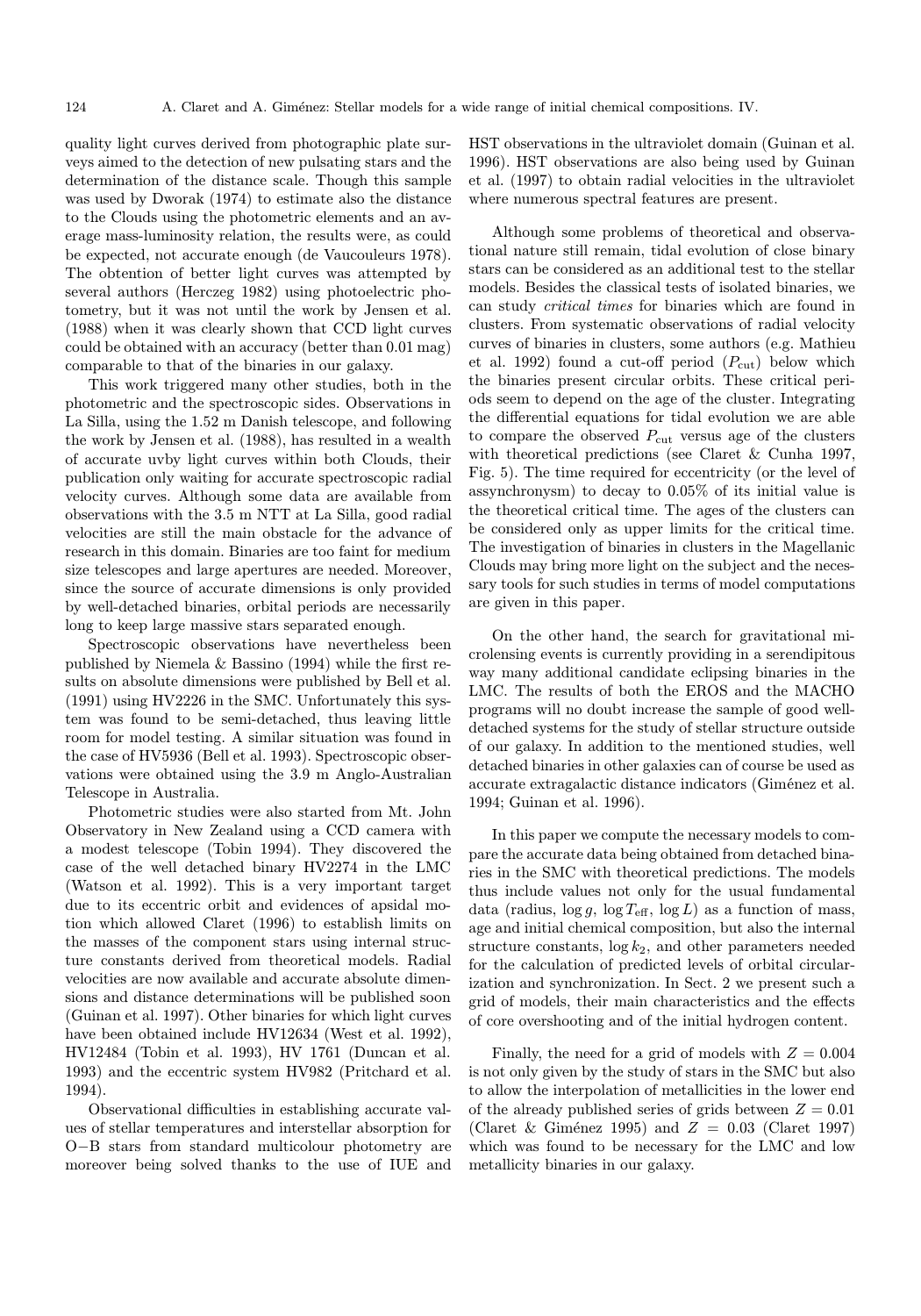quality light curves derived from photographic plate surveys aimed to the detection of new pulsating stars and the determination of the distance scale. Though this sample was used by Dworak (1974) to estimate also the distance to the Clouds using the photometric elements and an average mass-luminosity relation, the results were, as could be expected, not accurate enough (de Vaucouleurs 1978). The obtention of better light curves was attempted by several authors (Herczeg 1982) using photoelectric photometry, but it was not until the work by Jensen et al. (1988) when it was clearly shown that CCD light curves could be obtained with an accuracy (better than 0.01 mag) comparable to that of the binaries in our galaxy.

This work triggered many other studies, both in the photometric and the spectroscopic sides. Observations in La Silla, using the 1.52 m Danish telescope, and following the work by Jensen et al. (1988), has resulted in a wealth of accurate uvby light curves within both Clouds, their publication only waiting for accurate spectroscopic radial velocity curves. Although some data are available from observations with the 3.5 m NTT at La Silla, good radial velocities are still the main obstacle for the advance of research in this domain. Binaries are too faint for medium size telescopes and large apertures are needed. Moreover, since the source of accurate dimensions is only provided by well-detached binaries, orbital periods are necessarily long to keep large massive stars separated enough.

Spectroscopic observations have nevertheless been published by Niemela & Bassino (1994) while the first results on absolute dimensions were published by Bell et al. (1991) using HV2226 in the SMC. Unfortunately this system was found to be semi-detached, thus leaving little room for model testing. A similar situation was found in the case of HV5936 (Bell et al. 1993). Spectroscopic observations were obtained using the 3.9 m Anglo-Australian Telescope in Australia.

Photometric studies were also started from Mt. John Observatory in New Zealand using a CCD camera with a modest telescope (Tobin 1994). They discovered the case of the well detached binary HV2274 in the LMC (Watson et al. 1992). This is a very important target due to its eccentric orbit and evidences of apsidal motion which allowed Claret (1996) to establish limits on the masses of the component stars using internal structure constants derived from theoretical models. Radial velocities are now available and accurate absolute dimensions and distance determinations will be published soon (Guinan et al. 1997). Other binaries for which light curves have been obtained include HV12634 (West et al. 1992), HV12484 (Tobin et al. 1993), HV 1761 (Duncan et al. 1993) and the eccentric system HV982 (Pritchard et al. 1994).

Observational difficulties in establishing accurate values of stellar temperatures and interstellar absorption for O−B stars from standard multicolour photometry are moreover being solved thanks to the use of IUE and HST observations in the ultraviolet domain (Guinan et al. 1996). HST observations are also being used by Guinan et al. (1997) to obtain radial velocities in the ultraviolet where numerous spectral features are present.

Although some problems of theoretical and observational nature still remain, tidal evolution of close binary stars can be considered as an additional test to the stellar models. Besides the classical tests of isolated binaries, we can study critical times for binaries which are found in clusters. From systematic observations of radial velocity curves of binaries in clusters, some authors (e.g. Mathieu et al. 1992) found a cut-off period  $(P_{\text{cut}})$  below which the binaries present circular orbits. These critical periods seem to depend on the age of the cluster. Integrating the differential equations for tidal evolution we are able to compare the observed  $P_{\text{cut}}$  versus age of the clusters with theoretical predictions (see Claret & Cunha 1997, Fig. 5). The time required for eccentricity (or the level of assynchronysm) to decay to 0.05% of its initial value is the theoretical critical time. The ages of the clusters can be considered only as upper limits for the critical time. The investigation of binaries in clusters in the Magellanic Clouds may bring more light on the subject and the necessary tools for such studies in terms of model computations are given in this paper.

On the other hand, the search for gravitational microlensing events is currently providing in a serendipitous way many additional candidate eclipsing binaries in the LMC. The results of both the EROS and the MACHO programs will no doubt increase the sample of good welldetached systems for the study of stellar structure outside of our galaxy. In addition to the mentioned studies, well detached binaries in other galaxies can of course be used as accurate extragalactic distance indicators (Giménez et al. 1994; Guinan et al. 1996).

In this paper we compute the necessary models to compare the accurate data being obtained from detached binaries in the SMC with theoretical predictions. The models thus include values not only for the usual fundamental data (radius,  $\log g$ ,  $\log T_{\text{eff}}$ ,  $\log L$ ) as a function of mass, age and initial chemical composition, but also the internal structure constants,  $\log k_2$ , and other parameters needed for the calculation of predicted levels of orbital circularization and synchronization. In Sect. 2 we present such a grid of models, their main characteristics and the effects of core overshooting and of the initial hydrogen content.

Finally, the need for a grid of models with  $Z = 0.004$ is not only given by the study of stars in the SMC but also to allow the interpolation of metallicities in the lower end of the already published series of grids between  $Z = 0.01$ (Claret & Giménez 1995) and  $Z = 0.03$  (Claret 1997) which was found to be necessary for the LMC and low metallicity binaries in our galaxy.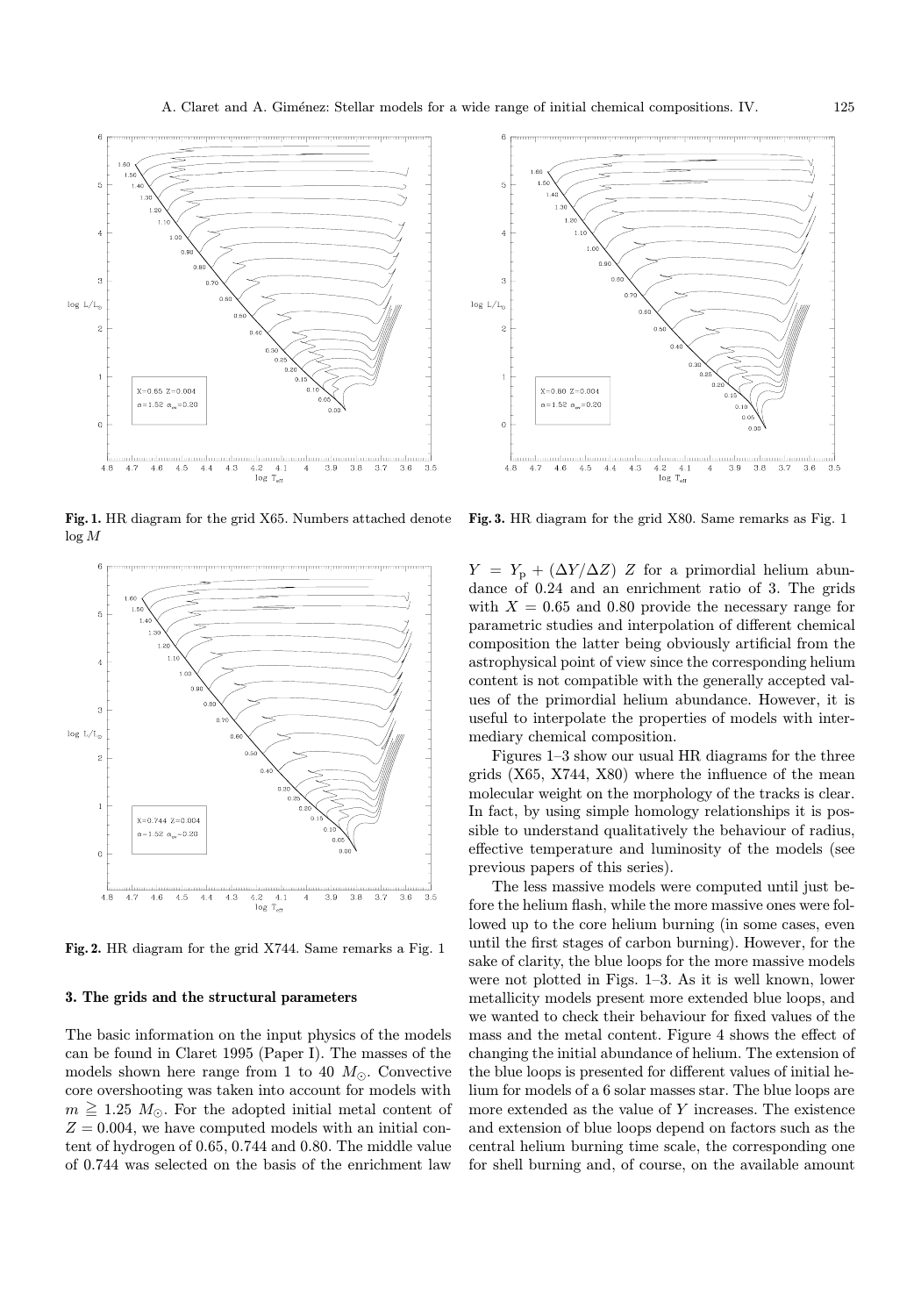

Fig. 1. HR diagram for the grid X65. Numbers attached denote log M



Fig. 2. HR diagram for the grid X744. Same remarks a Fig. 1

## 3. The grids and the structural parameters

The basic information on the input physics of the models can be found in Claret 1995 (Paper I). The masses of the models shown here range from 1 to 40  $M_{\odot}$ . Convective core overshooting was taken into account for models with  $m \geq 1.25$   $M_{\odot}$ . For the adopted initial metal content of  $Z = 0.004$ , we have computed models with an initial content of hydrogen of 0.65, 0.744 and 0.80. The middle value of 0.744 was selected on the basis of the enrichment law

![](_page_2_Figure_7.jpeg)

Fig. 3. HR diagram for the grid X80. Same remarks as Fig. 1

 $Y = Y_p + (\Delta Y / \Delta Z) Z$  for a primordial helium abundance of 0.24 and an enrichment ratio of 3. The grids with  $X = 0.65$  and 0.80 provide the necessary range for parametric studies and interpolation of different chemical composition the latter being obviously artificial from the astrophysical point of view since the corresponding helium content is not compatible with the generally accepted values of the primordial helium abundance. However, it is useful to interpolate the properties of models with intermediary chemical composition.

Figures 1–3 show our usual HR diagrams for the three grids (X65, X744, X80) where the influence of the mean molecular weight on the morphology of the tracks is clear. In fact, by using simple homology relationships it is possible to understand qualitatively the behaviour of radius, effective temperature and luminosity of the models (see previous papers of this series).

The less massive models were computed until just before the helium flash, while the more massive ones were followed up to the core helium burning (in some cases, even until the first stages of carbon burning). However, for the sake of clarity, the blue loops for the more massive models were not plotted in Figs. 1–3. As it is well known, lower metallicity models present more extended blue loops, and we wanted to check their behaviour for fixed values of the mass and the metal content. Figure 4 shows the effect of changing the initial abundance of helium. The extension of the blue loops is presented for different values of initial helium for models of a 6 solar masses star. The blue loops are more extended as the value of Y increases. The existence and extension of blue loops depend on factors such as the central helium burning time scale, the corresponding one for shell burning and, of course, on the available amount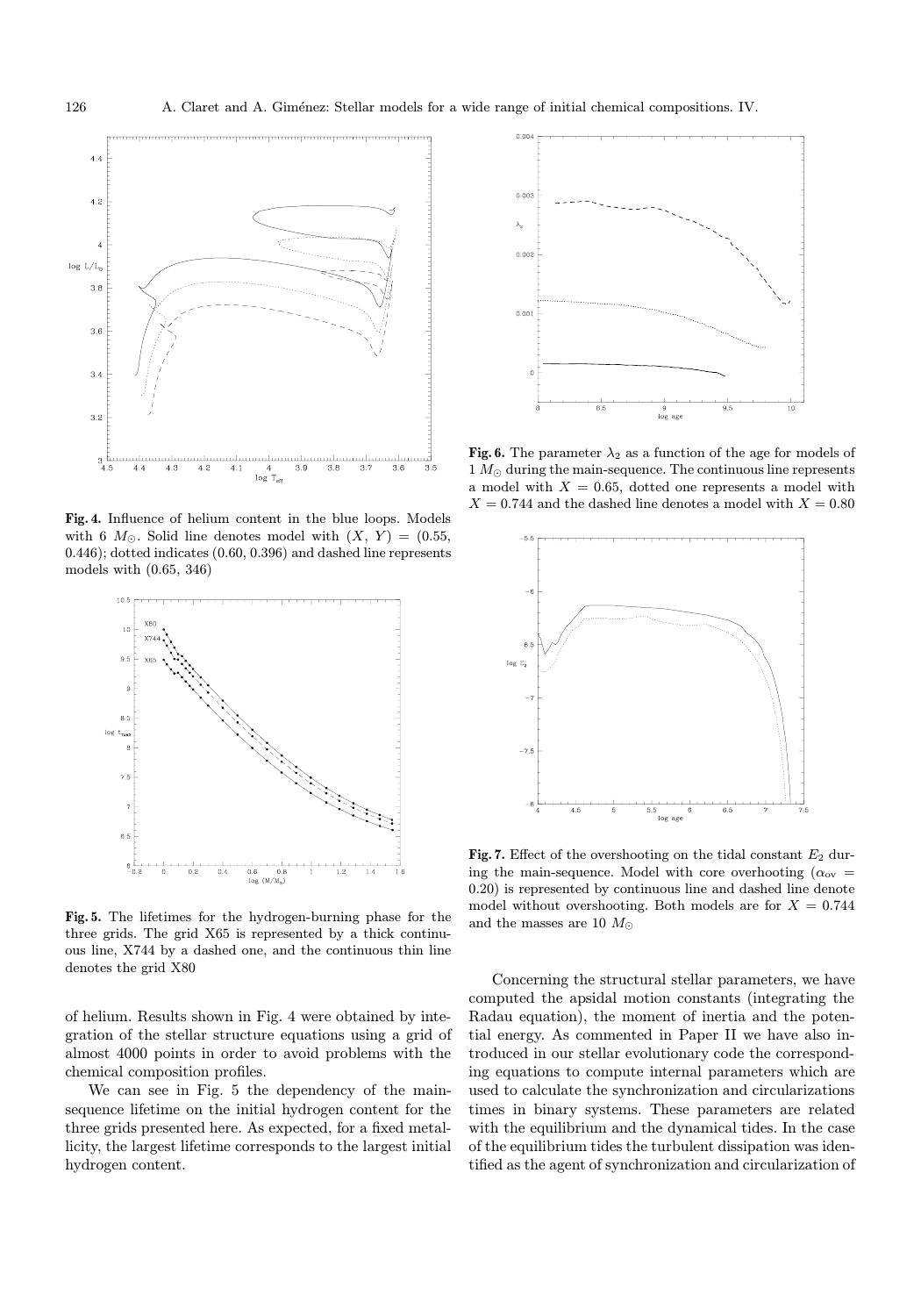![](_page_3_Figure_2.jpeg)

Fig. 4. Influence of helium content in the blue loops. Models with 6  $M_{\odot}$ . Solid line denotes model with  $(X, Y) = (0.55,$ 0.446); dotted indicates (0.60, 0.396) and dashed line represents models with (0.65, 346)

![](_page_3_Figure_4.jpeg)

Fig. 5. The lifetimes for the hydrogen-burning phase for the three grids. The grid X65 is represented by a thick continuous line, X744 by a dashed one, and the continuous thin line denotes the grid X80

of helium. Results shown in Fig. 4 were obtained by integration of the stellar structure equations using a grid of almost 4000 points in order to avoid problems with the chemical composition profiles.

We can see in Fig. 5 the dependency of the mainsequence lifetime on the initial hydrogen content for the three grids presented here. As expected, for a fixed metallicity, the largest lifetime corresponds to the largest initial hydrogen content.

![](_page_3_Figure_8.jpeg)

Fig. 6. The parameter  $\lambda_2$  as a function of the age for models of  $1 M_{\odot}$  during the main-sequence. The continuous line represents a model with  $X = 0.65$ , dotted one represents a model with  $X = 0.744$  and the dashed line denotes a model with  $X = 0.80$ 

![](_page_3_Figure_10.jpeg)

Fig. 7. Effect of the overshooting on the tidal constant  $E_2$  during the main-sequence. Model with core overhooting ( $\alpha_{ov}$  = 0.20) is represented by continuous line and dashed line denote model without overshooting. Both models are for  $X = 0.744$ and the masses are 10  $M_\odot$ 

Concerning the structural stellar parameters, we have computed the apsidal motion constants (integrating the Radau equation), the moment of inertia and the potential energy. As commented in Paper II we have also introduced in our stellar evolutionary code the corresponding equations to compute internal parameters which are used to calculate the synchronization and circularizations times in binary systems. These parameters are related with the equilibrium and the dynamical tides. In the case of the equilibrium tides the turbulent dissipation was identified as the agent of synchronization and circularization of